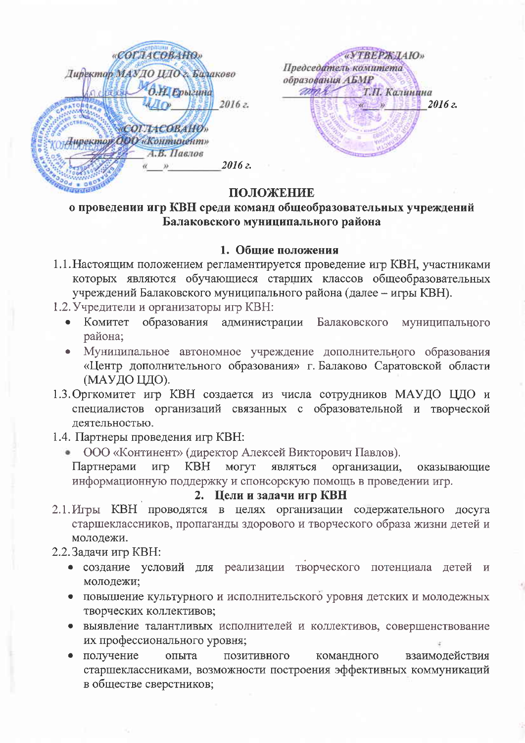«СОГЛАСОВАНО. «УТВЕРЖДАЮ» Председатель комитета **Директор МАУДО ЦДО 2. Билаково** образования **АБМР** O.H. Epoleuna mari Т.П. Калинина 2016 г.  $2016z$ «СОГЛАСОВАНО» -<br>Пиректор ООО «Континент» А.В. Павлов 2016 г.

## ПОЛОЖЕНИЕ

# о проведении игр КВН среди команд общеобразовательных учреждений Балаковского муниципального района

### 1. Общие положения

- 1.1. Настоящим положением регламентируется проведение игр КВН, участниками которых являются обучающиеся старших классов общеобразовательных учреждений Балаковского муниципального района (далее - игры КВН).
- 1.2. Учредители и организаторы игр КВН:
	- Комитет образования администрации Балаковского  $\bullet$ муниципального района;
	- Муниципальное автономное учреждение дополнительного образования «Центр дополнительного образования» г. Балаково Саратовской области (МАУДО ЦДО).
- 1.3. Оргкомитет игр КВН создается из числа сотрудников МАУДО ЦДО и специалистов организаций связанных с образовательной и творческой деятельностью.
- 1.4. Партнеры проведения игр КВН:
	- ООО «Континент» (директор Алексей Викторович Павлов).

КВН могут Партнерами игр являться организации, оказывающие информационную поддержку и спонсорскую помощь в проведении игр.

#### 2. Цели и задачи игр КВН

2.1. Игры КВН проводятся в целях организации содержательного досуга старшеклассников, пропаганды здорового и творческого образа жизни детей и молодежи.

## 2.2. Задачи игр КВН:

- создание условий для реализации творческого потенциала детей и молодежи;
- повышение культурного и исполнительского уровня детских и молодежных творческих коллективов;
- выявление талантливых исполнителей и коллективов, совершенствование их профессионального уровня;
- получение ПОЗИТИВНОГО командного взаимодействия опыта старшеклассниками, возможности построения эффективных коммуникаций в обществе сверстников;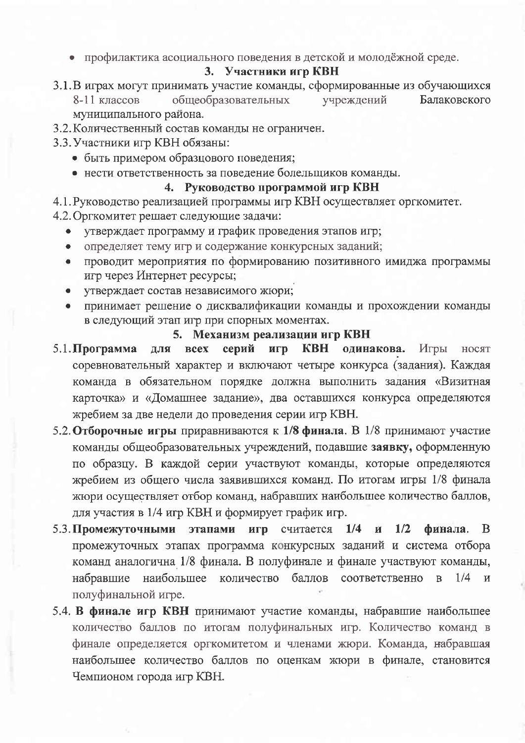• профилактика асоциального поведения в детской и молодёжной среде.

### 3. Участники игр КВН

3.1. В играх могут принимать участие команды, сформированные из обучающихся

общеобразовательных 8-11 классов учреждений Балаковского муниципального района.

- 3.2. Количественный состав команды не ограничен.
- 3.3. Участники игр КВН обязаны:
	- быть примером образцового поведения;
	- нести ответственность за поведение болельщиков команды.

## 4. Руководство программой игр КВН

- 4.1. Руководство реализацией программы игр КВН осуществляет оргкомитет.
- 4.2. Оргкомитет решает следующие задачи:
	- утверждает программу и график проведения этапов игр;
	- определяет тему игр и содержание конкурсных заданий;  $\bullet$
	- проводит мероприятия по формированию позитивного имиджа программы  $\bullet$ игр через Интернет ресурсы;
	- утверждает состав независимого жюри;  $\bullet$
	- принимает решение о дисквалификации команды и прохождении команды в следующий этап игр при спорных моментах.

## 5. Механизм реализации игр КВН

- $5.1.$ Программа игр КВН одинакова. для всех серий Игры носят соревновательный характер и включают четыре конкурса (задания). Каждая команда в обязательном порядке должна выполнить задания «Визитная карточка» и «Домашнее задание», два оставшихся конкурса определяются жребием за две недели до проведения серии игр КВН.
- 5.2. Отборочные игры приравниваются к  $1/8$  финала. В  $1/8$  принимают участие команды общеобразовательных учреждений, подавшие заявку, оформленную по образцу. В каждой серии участвуют команды, которые определяются жребием из общего числа заявившихся команд. По итогам игры 1/8 финала жюри осуществляет отбор команд, набравших наибольшее количество баллов, для участия в 1/4 игр КВН и формирует график игр.
- 5.3. Промежуточными этапами игр считается 1/4 и 1/2 финала. <sub>B</sub> промежуточных этапах программа конкурсных заданий и система отбора команд аналогична 1/8 финала. В полуфинале и финале участвуют команды, набравшие наибольшее количество баллов соответственно  $\overline{B}$  $1/4$  $\overline{M}$ полуфинальной игре.
- 5.4. В финале игр КВН принимают участие команды, набравшие наибольшее количество баллов по итогам полуфинальных игр. Количество команд в финале определяется оргкомитетом и членами жюри. Команда, набравшая наибольшее количество баллов по оценкам жюри в финале, становится Чемпионом города игр КВН.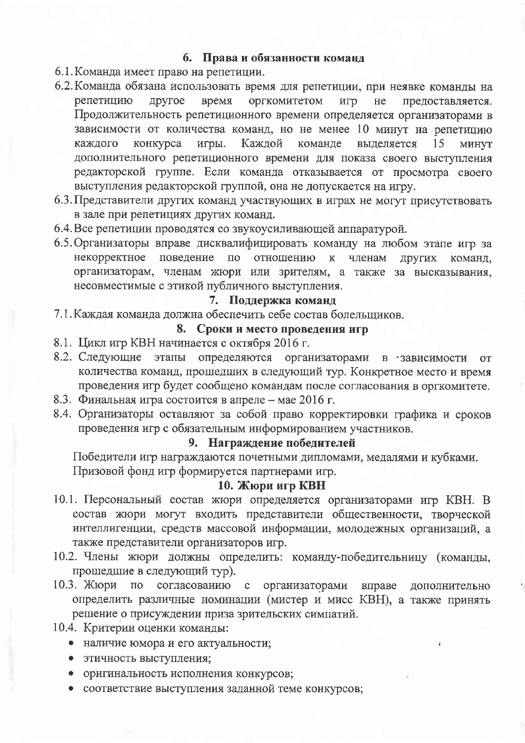## 6. Права и обязанности команд

- 6.1. Команда имеет право на репетиции.
- 6.2. Команда обязана использовать время для репетиции, при неявке команды на репетицию другое время оргкомитетом игр He предоставляется. Продолжительность репетиционного времени определяется организаторами в зависимости от количества команд, но не менее 10 минут на репетицию конкурса игры. Каждой каждого команде выделяется 15 МИНУТ дополнительного репетиционного времени для показа своего выступления редакторской группе. Если команда отказывается от просмотра своего выступления редакторской группой, она не допускается на игру.
- 6.3. Представители других команд участвующих в играх не могут присутствовать в зале при репетициях других команд.
- 6.4. Все репетиции проводятся со звукоусиливающей аппаратурой.
- 6.5. Организаторы вправе дисквалифицировать команду на любом этапе игр за некорректное поведение по отношению  $\mathbf{K}$ членам ЛРУГИХ команд. организаторам, членам жюри или зрителям, а также за высказывания, несовместимые с этикой публичного выступления.

### 7. Поддержка команд

7.1. Каждая команда должна обеспечить себе состав болельшиков.

## 8. Сроки и место проведения игр

- 8.1. Цикл игр КВН начинается с октября 2016 г.
- 8.2. Следующие этапы определяются организаторами в зависимости **OT** количества команд, прошедших в следующий тур. Конкретное место и время проведения игр будет сообщено командам после согласования в оргкомитете.
- 8.3. Финальная игра состоится в апреле мае 2016 г.
- 8.4. Организаторы оставляют за собой право корректировки графика и сроков проведения игр с обязательным информированием участников.

#### 9. Награждение победителей

Победители игр награждаются почетными дипломами, медалями и кубками. Призовой фонд игр формируется партнерами игр.

## 10. Жюри игр КВН

- 10.1. Персональный состав жюри определяется организаторами игр КВН. В состав жюри могут входить представители общественности, творческой интеллигенции, средств массовой информации, молодежных организаций, а также представители организаторов игр.
- 10.2. Члены жюри должны определить: команду-победительницу (команды, прошедшие в следующий тур).
- 10.3. Жюри по согласованию с организаторами вправе дополнительно определить различные номинации (мистер и мисс КВН), а также принять решение о присуждении приза зрительских симпатий.
- 10.4. Критерии оценки команды:
	- наличие юмора и его актуальности;
	- этичность выступления;
	- оригинальность исполнения конкурсов;
	- соответствие выступления заданной теме конкурсов;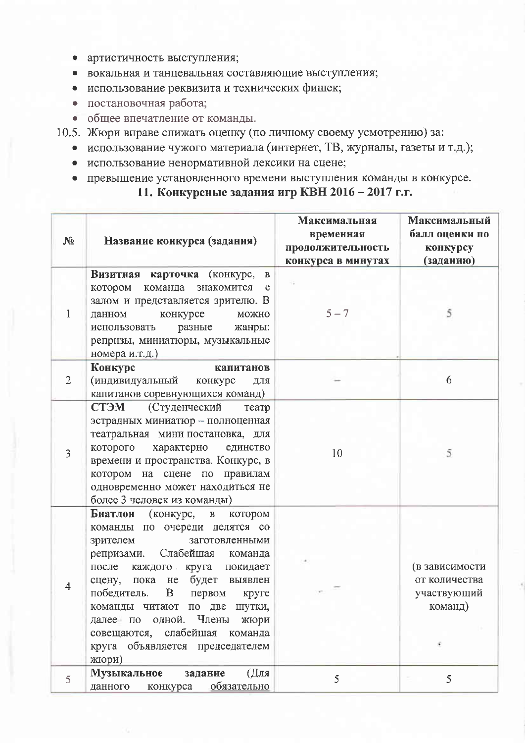- артистичность выступления;
- вокальная и танцевальная составляющие выступления;
- использование реквизита и технических фишек;
- постановочная работа;
- общее впечатление от команды.
- 10.5. Жюри вправе снижать оценку (по личному своему усмотрению) за:
	- использование чужого материала (интернет, ТВ, журналы, газеты и т.д.);
	- использование ненормативной лексики на сцене;

# • превышение установленного времени выступления команды в конкурсе. 11. Конкурсные задания игр КВН 2016 - 2017 г.г.

| $N_2$          | Название конкурса (задания)                                                                                                                                                                                                                                                                                                                                                                 | Максимальная<br>временная<br>продолжительность<br>конкурса в минутах | Максимальный<br>балл оценки по<br>конкурсу<br>(заданию)         |
|----------------|---------------------------------------------------------------------------------------------------------------------------------------------------------------------------------------------------------------------------------------------------------------------------------------------------------------------------------------------------------------------------------------------|----------------------------------------------------------------------|-----------------------------------------------------------------|
| 1              | Визитная карточка (конкурс,<br>$\, {\bf B}$<br>котором команда знакомится<br>$\mathbf c$<br>залом и представляется зрителю. В<br>конкурсе<br>данном<br>можно<br>разные<br>использовать<br>жанры:<br>репризы, миниатюры, музыкальные<br>номера и.т.д.)                                                                                                                                       | $5 - 7$                                                              | 5                                                               |
| $\overline{2}$ | Конкурс<br>капитанов<br>(индивидуальный<br>конкурс<br>ДЛЯ<br>капитанов соревнующихся команд)                                                                                                                                                                                                                                                                                                |                                                                      | 6                                                               |
| 3              | СТЭМ<br>(Студенческий<br>театр<br>эстрадных миниатюр - полноценная<br>театральная мини постановка, для<br>которого характерно<br>единство<br>времени и пространства. Конкурс, в<br>котором на сцене по правилам<br>одновременно может находиться не<br>более 3 человек из команды)                                                                                                          | 10                                                                   | 5                                                               |
| $\overline{4}$ | Биатлон<br>(конкурс, в<br>котором<br>команды по очереди делятся со<br>зрителем<br>заготовленными<br>Слабейшая команда<br>репризами.<br>после каждого круга покидает<br>пока не будет выявлен<br>сцену,<br>победитель.<br>B<br>первом<br>круге<br>команды читают по две шутки,<br>далее по одной. Члены<br>жюри<br>совещаются, слабейшая команда<br>круга объявляется председателем<br>жюри) |                                                                      | (в зависимости<br>от количества<br>участвующий<br>команд)<br>÷. |
| 5              | Музыкальное<br>(Для<br>задание<br>данного конкурса обязательно                                                                                                                                                                                                                                                                                                                              | 5                                                                    | 5                                                               |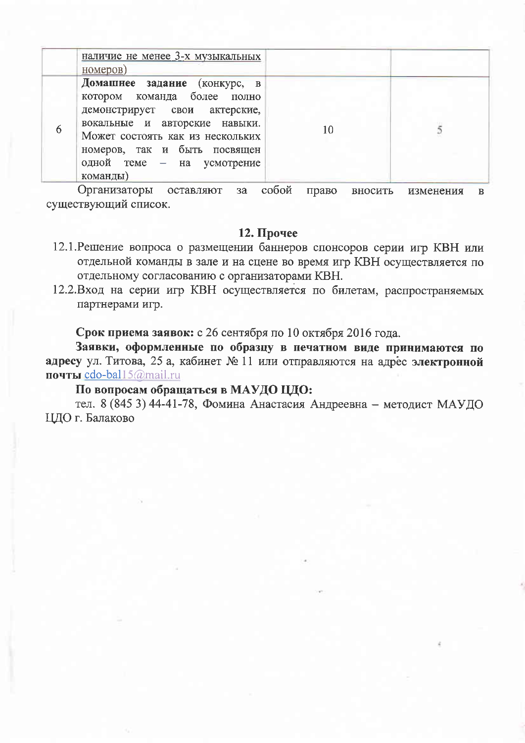| номеров)                                                                                                                                                                                                                                    |    |                                               |
|---------------------------------------------------------------------------------------------------------------------------------------------------------------------------------------------------------------------------------------------|----|-----------------------------------------------|
| Домашнее задание (конкурс, в<br>котором команда более полно<br>демонстрирует свои актерские,<br>вокальные и авторские навыки.<br>Может состоять как из нескольких<br>номеров, так и быть посвящен<br>одной теме - на усмотрение<br>команды) | 10 |                                               |
|                                                                                                                                                                                                                                             |    | $\alpha$<br>$\sum_{i=1}^{n}$<br><b>THAMBA</b> |

Организаторы оставляют за собой право вносить изменения в существующий список.

### 12. Прочее

- 12.1. Решение вопроса о размещении баннеров спонсоров серии игр КВН или отдельной команды в зале и на сцене во время игр КВН осуществляется по отдельному согласованию с организаторами КВН.
- 12.2.Вход на серии игр КВН осуществляется по билетам, распространяемых партнерами игр.

Срок приема заявок: с 26 сентября по 10 октября 2016 года.

Заявки, оформленные по образцу в печатном виде принимаются по адресу ул. Титова, 25 а, кабинет № 11 или отправляются на адрес электронной почты cdo-bal15@mail.ru

#### По вопросам обращаться в МАУДО ЦДО:

тел. 8 (845 3) 44-41-78, Фомина Анастасия Андреевна - методист МАУДО ЦДО г. Балаково